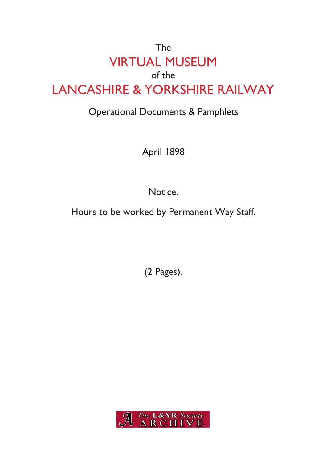# The VIRTUAL MUSEUM of the LANCASHIRE & YORKSHIRE RAILWAY

# Operational Documents & Pamphlets

April 1898

Notice.

Hours to be worked by Permanent Way Staff.

(2 Pages).

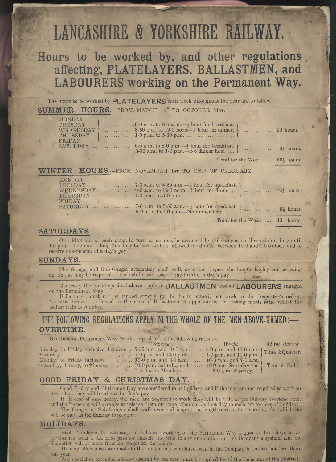# LANCASHIRE & **YORKSHIRE RAILWAY.**

*\*w*

# **Hours to be worked by, and other regulations affecting, PLATELAYERS, BALLASTMEN, and LABOURERS working on the Permanent Way**

The hours to be worked by  $\mathsf{PLATELAYERS}$  each week throughout the year are as follows:—

#### **SUMMER HOURS.—**FROM\* MARCH 1ST TO OCTOBER **31ST.**

|  | MONDAY<br>TUESDAY<br>WEDNESDAY<br>THURSDAY |  | $\ldots$ .6.0 a.m. to 8-0 a.m. $-\frac{1}{2}$ hour for breakfast.<br>8-30 a.m. to 12-0 noon-1 hour for dinner.    50 hours.<br>1-0 p.m. to 5-30 p.m.       ) |  |
|--|--------------------------------------------|--|--------------------------------------------------------------------------------------------------------------------------------------------------------------|--|
|  | FRIDAY                                     |  | SATURDAY    6-0 a.m. to 8-0 a.m. $-\frac{1}{2}$ hour for breakfast.<br>8-30 a.m. to 1-0 p.m. No dinner hour $\}$ $6\frac{1}{2}$ hours.                       |  |
|  |                                            |  | Total for the Week $\ldots$ 56 <sup>1</sup> / <sub>2</sub> hours.                                                                                            |  |
|  |                                            |  | <b>EDAM MAYEMPED</b><br><b>Long BLO JAMIN AND JARDIDITA DV</b>                                                                                               |  |

#### **WINTER HOURS.—**FROM NOVEMBER 1ST TO END OF FEBRUARY.

| MONDAY<br>TUESDAY<br>WEDNESDAY |  | 7-0 a.m. to 8-30 a.m. $-\frac{1}{2}$ hour for breakfast.<br>9-0 a.m. to 12-0 noon—1 hour for dinner  }    42 $\frac{1}{2}$ hours.<br><b>THURSDAY</b> 1-0 p.m. to 5-0 p.m.       ) |  |
|--------------------------------|--|-----------------------------------------------------------------------------------------------------------------------------------------------------------------------------------|--|
| <b>FRIDAY</b>                  |  | SATURDAY    7-0 a.m. to 8-30 a.m. $-\frac{1}{2}$ hour for breakfast.<br>9-0 a.m. to 1-0 p.m. No dinner hour $\}$ $5\frac{1}{2}$ hours.                                            |  |

Total for the Week ... <sup>48</sup> hours.

#### $\mathbf{SATURDAYS}$ .

*<sup>l</sup>*w

*i*

*i*

ONE MAN out of each gang, in turn or as may be arranged by the Ganger, shall remain on duty until 4-0 p.m. The man taking this duty to have an hour allowed for dinner, between 12-0 and 1-0 o'clock, and to receive one-quarter of a day's pay.

#### **SUNDAYS.**

'The Ganger and Sub-Ganger alternately shall walk oyer and inspect the length, keying and screwing up, &e., as may be required, for which he will receive one-third of a day's pay. , #V\*'.

Generally the hours specified above apply to BALLASTMEN and all LABOURERS engaged on the Permanent Way.

Ballastmen must not be guided strictly by the hours named, but work to the Inspector's orders. No meal times are allowed in the case of Ballastmen, if opportunities for taking meals arise whilst the ballast train is running.

#### **THE FOLLOWING REGULATIONS APPLY TO THE WHOLE OF THE MEN ABOVE-NAMED : OVERTIME. ,** *i*

Overtime on Permanent Way Works is paid, for.at the following rates *\** ' *Summer.*

Saturday to Friday inclusive, between...  $\frac{3}{2}$  b.m. and 10-0 p.m. ...<br>Saturday to Friday inclusive ,, ...  $10-0$  p.m. and  $6-0$  a.m. ...

Saturday, Sunday, to<sup>-</sup>Monday  $\ldots$  ... 10-0 p.m. Saturday and  $\ldots$ 6-0 a.m. Monday.

Monday to Friday inclusive, between . .. 5-30 p.m. and 10-0 p.m. ... *Winter.* 5-0 p.m. and 10-0 p.m. 1-0 p.m. and 10-0 p.m. 10-0 p.m. and 7-0 a.m.  $10-0$  p.m. Saturday and  $\{$  $6-0$  a.m. Monday.

*At the Bate of* |Time & Quarter.

*<sup>I</sup>* Time & Half.

#### **GOOD FRIDAY & CHRISTMAS DAY.**

Good Friday and Christmas Day are considered to be holidays, and if the men are not required to work on those days they will be allowed a day's pay.

If, in case of emergency, the men are required to work they will be paid at the Sunday overtime rate, and the Inspector will arrange to release them on some other convenient day to make up for loss of holiday. The Ganger or Sub-Ganger shall walk over and inspect the length once in the morning, for which lie

will be paid as for Sunday inspection.

#### **HOLIDAYS.**

Each Platelayer, Ballastman, and Labourer working on the Permanent Way is granted three days' leave of absence with a 3rd class pass for himself and wife to any one station on this Company's system, and no deduction will be made from his wages for these days.

Holiday allowances are made to those men only who have been in the Company's service not less than

Any special or extended holiday desired by the men must be applied for to the Inspector of the District,